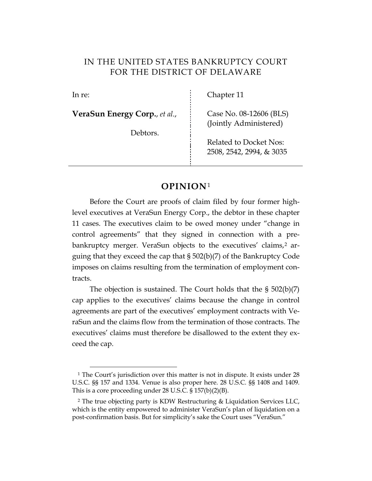# IN THE UNITED STATES BANKRUPTCY COURT FOR THE DISTRICT OF DELAWARE

**VeraSun Energy Corp.**, *et al*., Case No. 08-12606 (BLS)

Debtors.

In re: Chapter 11

(Jointly Administered)

Related to Docket Nos: 2508, 2542, 2994, & 3035

# **OPINION**[1](#page-0-0)

Before the Court are proofs of claim filed by four former highlevel executives at VeraSun Energy Corp., the debtor in these chapter 11 cases. The executives claim to be owed money under "change in control agreements" that they signed in connection with a pre-bankruptcy merger. VeraSun objects to the executives' claims,<sup>[2](#page-0-1)</sup> arguing that they exceed the cap that § 502(b)(7) of the Bankruptcy Code imposes on claims resulting from the termination of employment contracts.

The objection is sustained. The Court holds that the § 502(b)(7) cap applies to the executives' claims because the change in control agreements are part of the executives' employment contracts with VeraSun and the claims flow from the termination of those contracts. The executives' claims must therefore be disallowed to the extent they exceed the cap.

<span id="page-0-0"></span><sup>&</sup>lt;sup>1</sup> The Court's jurisdiction over this matter is not in dispute. It exists under 28 U.S.C. §§ 157 and 1334. Venue is also proper here. 28 U.S.C. §§ 1408 and 1409. This is a core proceeding under 28 U.S.C. § 157(b)(2)(B).

<span id="page-0-1"></span><sup>2</sup> The true objecting party is KDW Restructuring & Liquidation Services LLC, which is the entity empowered to administer VeraSun's plan of liquidation on a post-confirmation basis. But for simplicity's sake the Court uses "VeraSun."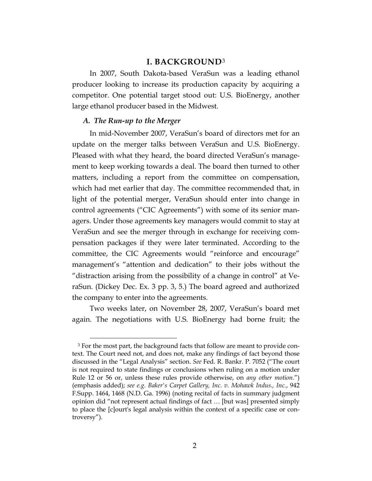#### **I. BACKGROUND**[3](#page-1-0)

In 2007, South Dakota-based VeraSun was a leading ethanol producer looking to increase its production capacity by acquiring a competitor. One potential target stood out: U.S. BioEnergy, another large ethanol producer based in the Midwest.

#### *A. The Run-up to the Merger*

In mid-November 2007, VeraSun's board of directors met for an update on the merger talks between VeraSun and U.S. BioEnergy. Pleased with what they heard, the board directed VeraSun's management to keep working towards a deal. The board then turned to other matters, including a report from the committee on compensation, which had met earlier that day. The committee recommended that, in light of the potential merger, VeraSun should enter into change in control agreements ("CIC Agreements") with some of its senior managers. Under those agreements key managers would commit to stay at VeraSun and see the merger through in exchange for receiving compensation packages if they were later terminated. According to the committee, the CIC Agreements would "reinforce and encourage" management's "attention and dedication" to their jobs without the "distraction arising from the possibility of a change in control" at VeraSun. (Dickey Dec. Ex. 3 pp. 3, 5.) The board agreed and authorized the company to enter into the agreements.

Two weeks later, on November 28, 2007, VeraSun's board met again. The negotiations with U.S. BioEnergy had borne fruit; the

<span id="page-1-0"></span> <sup>3</sup> For the most part, the background facts that follow are meant to provide context. The Court need not, and does not, make any findings of fact beyond those discussed in the "Legal Analysis" section. *See* Fed. R. Bankr. P. 7052 ("The court is not required to state findings or conclusions when ruling on a motion under Rule 12 or 56 or, unless these rules provide otherwise, on *any other motion*.") (emphasis added); *see e.g. Baker's Carpet Gallery, Inc. v. Mohawk Indus., Inc.*, 942 F.Supp. 1464, 1468 (N.D. Ga. 1996) (noting recital of facts in summary judgment opinion did "not represent actual findings of fact … [but was] presented simply to place the [c]ourt's legal analysis within the context of a specific case or controversy").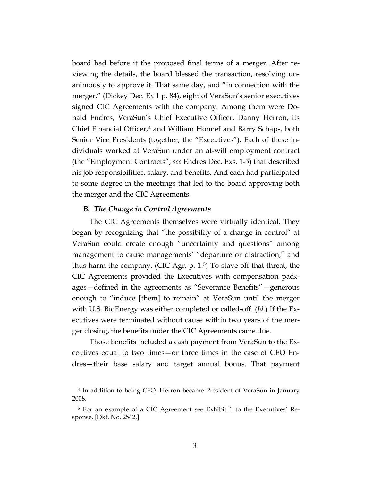board had before it the proposed final terms of a merger. After reviewing the details, the board blessed the transaction, resolving unanimously to approve it. That same day, and "in connection with the merger," (Dickey Dec. Ex 1 p. 84), eight of VeraSun's senior executives signed CIC Agreements with the company. Among them were Donald Endres, VeraSun's Chief Executive Officer, Danny Herron, its Chief Financial Officer,<sup>[4](#page-2-0)</sup> and William Honnef and Barry Schaps, both Senior Vice Presidents (together, the "Executives"). Each of these individuals worked at VeraSun under an at-will employment contract (the "Employment Contracts"; *see* Endres Dec. Exs. 1-5) that described his job responsibilities, salary, and benefits. And each had participated to some degree in the meetings that led to the board approving both the merger and the CIC Agreements.

#### *B. The Change in Control Agreements*

The CIC Agreements themselves were virtually identical. They began by recognizing that "the possibility of a change in control" at VeraSun could create enough "uncertainty and questions" among management to cause managements' "departure or distraction," and thus harm the company. (CIC Agr. p. 1.[5](#page-2-1) ) To stave off that threat, the CIC Agreements provided the Executives with compensation packages—defined in the agreements as "Severance Benefits"—generous enough to "induce [them] to remain" at VeraSun until the merger with U.S. BioEnergy was either completed or called-off. (*Id.*) If the Executives were terminated without cause within two years of the merger closing, the benefits under the CIC Agreements came due.

Those benefits included a cash payment from VeraSun to the Executives equal to two times—or three times in the case of CEO Endres—their base salary and target annual bonus. That payment

<span id="page-2-0"></span> <sup>4</sup> In addition to being CFO, Herron became President of VeraSun in January 2008.

<span id="page-2-1"></span><sup>5</sup> For an example of a CIC Agreement see Exhibit 1 to the Executives' Response. [Dkt. No. 2542.]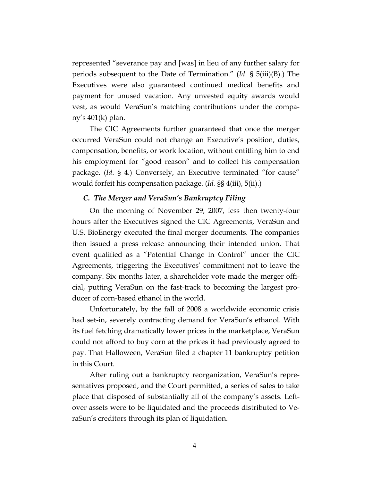represented "severance pay and [was] in lieu of any further salary for periods subsequent to the Date of Termination." (*Id*. § 5(iii)(B).) The Executives were also guaranteed continued medical benefits and payment for unused vacation. Any unvested equity awards would vest, as would VeraSun's matching contributions under the company's 401(k) plan.

The CIC Agreements further guaranteed that once the merger occurred VeraSun could not change an Executive's position, duties, compensation, benefits, or work location, without entitling him to end his employment for "good reason" and to collect his compensation package. (*Id*. § 4.) Conversely, an Executive terminated "for cause" would forfeit his compensation package. (*Id.* §§ 4(iii), 5(ii).)

## *C. The Merger and VeraSun's Bankruptcy Filing*

On the morning of November 29, 2007, less then twenty-four hours after the Executives signed the CIC Agreements, VeraSun and U.S. BioEnergy executed the final merger documents. The companies then issued a press release announcing their intended union. That event qualified as a "Potential Change in Control" under the CIC Agreements, triggering the Executives' commitment not to leave the company. Six months later, a shareholder vote made the merger official, putting VeraSun on the fast-track to becoming the largest producer of corn-based ethanol in the world.

Unfortunately, by the fall of 2008 a worldwide economic crisis had set-in, severely contracting demand for VeraSun's ethanol. With its fuel fetching dramatically lower prices in the marketplace, VeraSun could not afford to buy corn at the prices it had previously agreed to pay. That Halloween, VeraSun filed a chapter 11 bankruptcy petition in this Court.

After ruling out a bankruptcy reorganization, VeraSun's representatives proposed, and the Court permitted, a series of sales to take place that disposed of substantially all of the company's assets. Leftover assets were to be liquidated and the proceeds distributed to VeraSun's creditors through its plan of liquidation.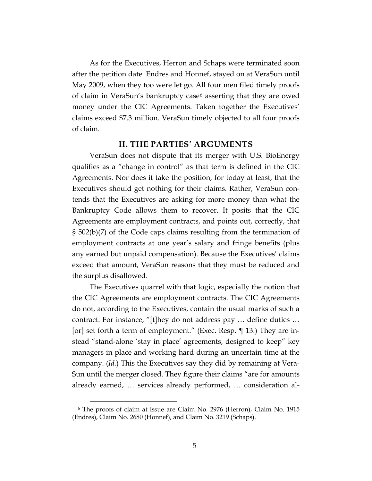As for the Executives, Herron and Schaps were terminated soon after the petition date. Endres and Honnef, stayed on at VeraSun until May 2009, when they too were let go. All four men filed timely proofs of claim in VeraSun's bankruptcy case<sup>[6](#page-4-0)</sup> asserting that they are owed money under the CIC Agreements. Taken together the Executives' claims exceed \$7.3 million. VeraSun timely objected to all four proofs of claim.

## **II. THE PARTIES' ARGUMENTS**

VeraSun does not dispute that its merger with U.S. BioEnergy qualifies as a "change in control" as that term is defined in the CIC Agreements. Nor does it take the position, for today at least, that the Executives should get nothing for their claims. Rather, VeraSun contends that the Executives are asking for more money than what the Bankruptcy Code allows them to recover. It posits that the CIC Agreements are employment contracts, and points out, correctly, that § 502(b)(7) of the Code caps claims resulting from the termination of employment contracts at one year's salary and fringe benefits (plus any earned but unpaid compensation). Because the Executives' claims exceed that amount, VeraSun reasons that they must be reduced and the surplus disallowed.

The Executives quarrel with that logic, especially the notion that the CIC Agreements are employment contracts. The CIC Agreements do not, according to the Executives, contain the usual marks of such a contract. For instance, "[t]hey do not address pay … define duties … [or] set forth a term of employment." (Exec. Resp. ¶ 13.) They are instead "stand-alone 'stay in place' agreements, designed to keep" key managers in place and working hard during an uncertain time at the company. (*Id.*) This the Executives say they did by remaining at Vera-Sun until the merger closed. They figure their claims "are for amounts already earned, … services already performed, … consideration al-

<span id="page-4-0"></span> <sup>6</sup> The proofs of claim at issue are Claim No. 2976 (Herron), Claim No. 1915 (Endres), Claim No. 2680 (Honnef), and Claim No. 3219 (Schaps).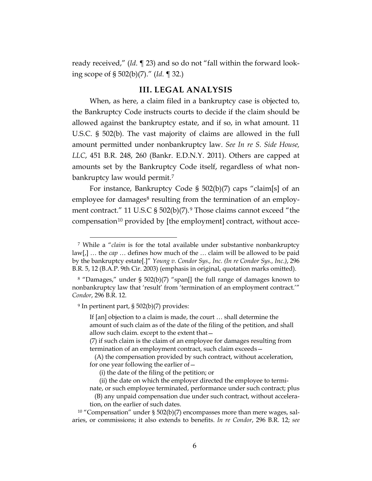ready received," (*Id*. ¶ 23) and so do not "fall within the forward looking scope of § 502(b)(7)." (*Id*. ¶ 32.)

## **III. LEGAL ANALYSIS**

When, as here, a claim filed in a bankruptcy case is objected to, the Bankruptcy Code instructs courts to decide if the claim should be allowed against the bankruptcy estate, and if so, in what amount. 11 U.S.C. § 502(b). The vast majority of claims are allowed in the full amount permitted under nonbankruptcy law. *See In re S. Side House, LLC*, 451 B.R. 248, 260 (Bankr. E.D.N.Y. 2011). Others are capped at amounts set by the Bankruptcy Code itself, regardless of what nonbankruptcy law would permit.[7](#page-5-0)

For instance, Bankruptcy Code § 502(b)(7) caps "claim[s] of an employee for damages<sup>[8](#page-5-1)</sup> resulting from the termination of an employ-ment contract." 11 U.S.C § 502(b)(7).<sup>[9](#page-5-2)</sup> Those claims cannot exceed "the compensation<sup>[10](#page-5-3)</sup> provided by [the employment] contract, without acce-

<sup>9</sup> In pertinent part, § 502(b)(7) provides:

<span id="page-5-0"></span> <sup>7</sup> While a "*claim* is for the total available under substantive nonbankruptcy law[,] … the *cap* … defines how much of the … claim will be allowed to be paid by the bankruptcy estate[.]" *Young v. Condor Sys., Inc. (In re Condor Sys., Inc.)*, 296 B.R. 5, 12 (B.A.P. 9th Cir. 2003) (emphasis in original, quotation marks omitted).

<span id="page-5-2"></span><span id="page-5-1"></span><sup>8</sup> "Damages," under § 502(b)(7) "span[] the full range of damages known to nonbankruptcy law that 'result' from 'termination of an employment contract.'" *Condor*, 296 B.R. 12.

If [an] objection to a claim is made, the court … shall determine the amount of such claim as of the date of the filing of the petition, and shall allow such claim. except to the extent that—

<sup>(7)</sup> if such claim is the claim of an employee for damages resulting from termination of an employment contract, such claim exceeds—

 <sup>(</sup>A) the compensation provided by such contract, without acceleration, for one year following the earlier of—

 <sup>(</sup>i) the date of the filing of the petition; or

 <sup>(</sup>ii) the date on which the employer directed the employee to terminate, or such employee terminated, performance under such contract; plus

 <sup>(</sup>B) any unpaid compensation due under such contract, without acceleration, on the earlier of such dates.

<span id="page-5-3"></span><sup>&</sup>lt;sup>10</sup> "Compensation" under  $\S$  502(b)(7) encompasses more than mere wages, salaries, or commissions; it also extends to benefits. *In re Condor*, 296 B.R. 12; *see*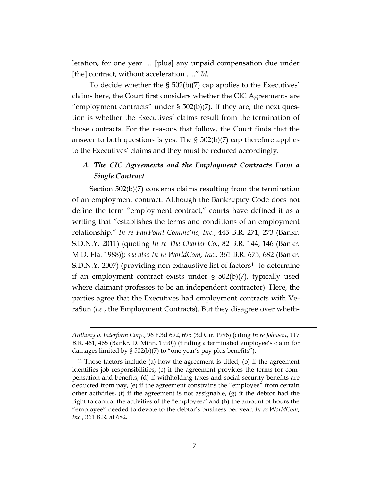leration, for one year … [plus] any unpaid compensation due under [the] contract, without acceleration …." *Id*.

To decide whether the § 502(b)(7) cap applies to the Executives' claims here, the Court first considers whether the CIC Agreements are "employment contracts" under  $\S$  502(b)(7). If they are, the next question is whether the Executives' claims result from the termination of those contracts. For the reasons that follow, the Court finds that the answer to both questions is yes. The  $\S$  502(b)(7) cap therefore applies to the Executives' claims and they must be reduced accordingly.

# *A. The CIC Agreements and the Employment Contracts Form a Single Contract*

Section 502(b)(7) concerns claims resulting from the termination of an employment contract. Although the Bankruptcy Code does not define the term "employment contract," courts have defined it as a writing that "establishes the terms and conditions of an employment relationship." *In re FairPoint Commc'ns, Inc.*, 445 B.R. 271, 273 (Bankr. S.D.N.Y. 2011) (quoting *In re The Charter Co.*, 82 B.R. 144, 146 (Bankr. M.D. Fla. 1988)); *see also In re WorldCom, Inc.*, 361 B.R. 675, 682 (Bankr. S.D.N.Y. 2007) (providing non-exhaustive list of factors<sup>[11](#page-6-0)</sup> to determine if an employment contract exists under § 502(b)(7), typically used where claimant professes to be an independent contractor). Here, the parties agree that the Executives had employment contracts with VeraSun (*i.e.*, the Employment Contracts). But they disagree over wheth-

 $\overline{a}$ 

*Anthony v. Interform Corp.*, 96 F.3d 692, 695 (3d Cir. 1996) (citing *In re Johnson*, 117 B.R. 461, 465 (Bankr. D. Minn. 1990)) (finding a terminated employee's claim for damages limited by § 502(b)(7) to "one year's pay plus benefits").

<span id="page-6-0"></span> $11$  Those factors include (a) how the agreement is titled, (b) if the agreement identifies job responsibilities, (c) if the agreement provides the terms for compensation and benefits, (d) if withholding taxes and social security benefits are deducted from pay, (e) if the agreement constrains the "employee" from certain other activities, (f) if the agreement is not assignable, (g) if the debtor had the right to control the activities of the "employee," and (h) the amount of hours the "employee" needed to devote to the debtor's business per year. *In re WorldCom, Inc.*, 361 B.R. at 682.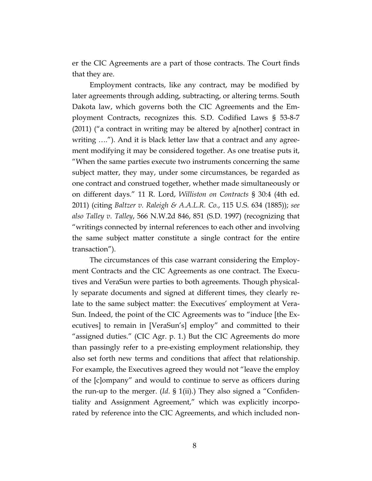er the CIC Agreements are a part of those contracts. The Court finds that they are.

Employment contracts, like any contract, may be modified by later agreements through adding, subtracting, or altering terms. South Dakota law, which governs both the CIC Agreements and the Employment Contracts, recognizes this. S.D. Codified Laws § 53-8-7 (2011) ("a contract in writing may be altered by a[nother] contract in writing …."). And it is black letter law that a contract and any agreement modifying it may be considered together. As one treatise puts it, "When the same parties execute two instruments concerning the same subject matter, they may, under some circumstances, be regarded as one contract and construed together, whether made simultaneously or on different days." 11 R. Lord, *Williston on Contracts* § 30:4 (4th ed. 2011) (citing *Baltzer v. Raleigh & A.A.L.R. Co.*, 115 U.S. 634 (1885)); *see also Talley v. Talley*, 566 N.W.2d 846, 851 (S.D. 1997) (recognizing that "writings connected by internal references to each other and involving the same subject matter constitute a single contract for the entire transaction").

The circumstances of this case warrant considering the Employment Contracts and the CIC Agreements as one contract. The Executives and VeraSun were parties to both agreements. Though physically separate documents and signed at different times, they clearly relate to the same subject matter: the Executives' employment at Vera-Sun. Indeed, the point of the CIC Agreements was to "induce [the Executives] to remain in [VeraSun's] employ" and committed to their "assigned duties." (CIC Agr. p. 1.) But the CIC Agreements do more than passingly refer to a pre-existing employment relationship, they also set forth new terms and conditions that affect that relationship. For example, the Executives agreed they would not "leave the employ of the [c]ompany" and would to continue to serve as officers during the run-up to the merger. (*Id*. § 1(ii).) They also signed a "Confidentiality and Assignment Agreement," which was explicitly incorporated by reference into the CIC Agreements, and which included non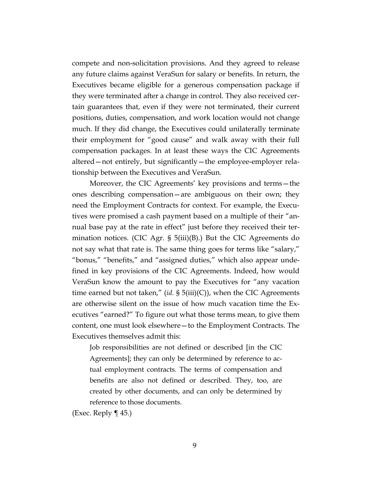compete and non-solicitation provisions. And they agreed to release any future claims against VeraSun for salary or benefits. In return, the Executives became eligible for a generous compensation package if they were terminated after a change in control. They also received certain guarantees that, even if they were not terminated, their current positions, duties, compensation, and work location would not change much. If they did change, the Executives could unilaterally terminate their employment for "good cause" and walk away with their full compensation packages. In at least these ways the CIC Agreements altered—not entirely, but significantly—the employee-employer relationship between the Executives and VeraSun.

Moreover, the CIC Agreements' key provisions and terms—the ones describing compensation—are ambiguous on their own; they need the Employment Contracts for context. For example, the Executives were promised a cash payment based on a multiple of their "annual base pay at the rate in effect" just before they received their termination notices. (CIC Agr. § 5(iii)(B).) But the CIC Agreements do not say what that rate is. The same thing goes for terms like "salary," "bonus," "benefits," and "assigned duties," which also appear undefined in key provisions of the CIC Agreements. Indeed, how would VeraSun know the amount to pay the Executives for "any vacation time earned but not taken," (*id.* § 5(iii)(C)), when the CIC Agreements are otherwise silent on the issue of how much vacation time the Executives "earned?" To figure out what those terms mean, to give them content, one must look elsewhere—to the Employment Contracts. The Executives themselves admit this:

Job responsibilities are not defined or described [in the CIC Agreements]; they can only be determined by reference to actual employment contracts. The terms of compensation and benefits are also not defined or described. They, too, are created by other documents, and can only be determined by reference to those documents.

(Exec. Reply  $\P$  45.)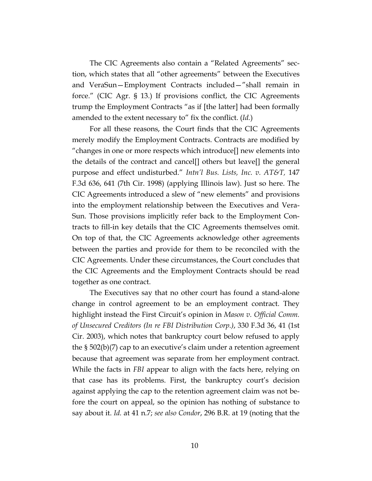The CIC Agreements also contain a "Related Agreements" section, which states that all "other agreements" between the Executives and VeraSun—Employment Contracts included—"shall remain in force." (CIC Agr. § 13.) If provisions conflict, the CIC Agreements trump the Employment Contracts "as if [the latter] had been formally amended to the extent necessary to" fix the conflict. (*Id.*)

For all these reasons, the Court finds that the CIC Agreements merely modify the Employment Contracts. Contracts are modified by "changes in one or more respects which introduce[] new elements into the details of the contract and cancel[] others but leave[] the general purpose and effect undisturbed." *Intn'l Bus. Lists, Inc. v. AT&T,* 147 F.3d 636, 641 (7th Cir. 1998) (applying Illinois law). Just so here. The CIC Agreements introduced a slew of "new elements" and provisions into the employment relationship between the Executives and Vera-Sun. Those provisions implicitly refer back to the Employment Contracts to fill-in key details that the CIC Agreements themselves omit. On top of that, the CIC Agreements acknowledge other agreements between the parties and provide for them to be reconciled with the CIC Agreements. Under these circumstances, the Court concludes that the CIC Agreements and the Employment Contracts should be read together as one contract.

The Executives say that no other court has found a stand-alone change in control agreement to be an employment contract. They highlight instead the First Circuit's opinion in *Mason v. Official Comm. of Unsecured Creditors (In re FBI Distribution Corp.)*, 330 F.3d 36, 41 (1st Cir. 2003), which notes that bankruptcy court below refused to apply the § 502(b)(7) cap to an executive's claim under a retention agreement because that agreement was separate from her employment contract. While the facts in *FBI* appear to align with the facts here, relying on that case has its problems. First, the bankruptcy court's decision against applying the cap to the retention agreement claim was not before the court on appeal, so the opinion has nothing of substance to say about it. *Id.* at 41 n.7; *see also Condor*, 296 B.R. at 19 (noting that the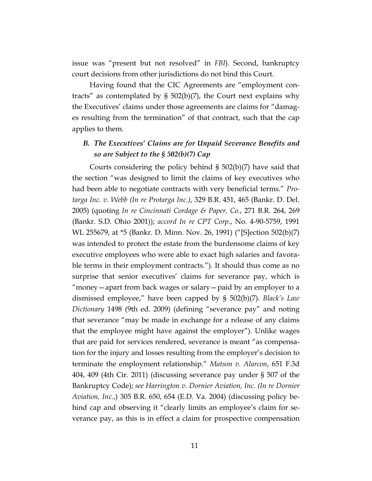issue was "present but not resolved" in *FBI*). Second, bankruptcy court decisions from other jurisdictions do not bind this Court.

Having found that the CIC Agreements are "employment contracts" as contemplated by § 502(b)(7), the Court next explains why the Executives' claims under those agreements are claims for "damages resulting from the termination" of that contract, such that the cap applies to them.

## *B. The Executives' Claims are for Unpaid Severance Benefits and so are Subject to the § 502(b)(7) Cap*

Courts considering the policy behind § 502(b)(7) have said that the section "was designed to limit the claims of key executives who had been able to negotiate contracts with very beneficial terms." *Protarga Inc. v. Webb (In re Protarga Inc.)*, 329 B.R. 451, 465 (Bankr. D. Del. 2005) (quoting *In re Cincinnati Cordage & Paper, Co.*, 271 B.R. 264, 269 (Bankr. S.D. Ohio 2001)); *accord In re CPT Corp*., No. 4-90-5759, 1991 WL 255679, at \*5 (Bankr. D. Minn. Nov. 26, 1991) ("[S]ection 502(b)(7) was intended to protect the estate from the burdensome claims of key executive employees who were able to exact high salaries and favorable terms in their employment contracts."). It should thus come as no surprise that senior executives' claims for severance pay, which is "money—apart from back wages or salary—paid by an employer to a dismissed employee," have been capped by § 502(b)(7). *Black's Law Dictionary* 1498 (9th ed. 2009) (defining "severance pay" and noting that severance "may be made in exchange for a release of any claims that the employee might have against the employer"). Unlike wages that are paid for services rendered, severance is meant "as compensation for the injury and losses resulting from the employer's decision to terminate the employment relationship." *Matson v. Alarcon*, 651 F.3d 404, 409 (4th Cir. 2011) (discussing severance pay under § 507 of the Bankruptcy Code); *see Harrington v. Dornier Aviation, Inc. (In re Dornier Aviation, Inc.*,) 305 B.R. 650, 654 (E.D. Va. 2004) (discussing policy behind cap and observing it "clearly limits an employee's claim for severance pay, as this is in effect a claim for prospective compensation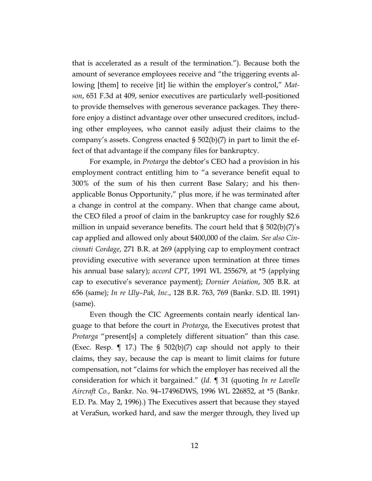that is accelerated as a result of the termination."). Because both the amount of severance employees receive and "the triggering events allowing [them] to receive [it] lie within the employer's control," *Matson*, 651 F.3d at 409, senior executives are particularly well-positioned to provide themselves with generous severance packages. They therefore enjoy a distinct advantage over other unsecured creditors, including other employees, who cannot easily adjust their claims to the company's assets. Congress enacted § 502(b)(7) in part to limit the effect of that advantage if the company files for bankruptcy.

For example, in *Protarga* the debtor's CEO had a provision in his employment contract entitling him to "a severance benefit equal to 300% of the sum of his then current Base Salary; and his thenapplicable Bonus Opportunity," plus more, if he was terminated after a change in control at the company. When that change came about, the CEO filed a proof of claim in the bankruptcy case for roughly \$2.6 million in unpaid severance benefits. The court held that  $\S 502(b)(7)'s$ cap applied and allowed only about \$400,000 of the claim. *See also Cincinnati Cordage*, 271 B.R. at 269 (applying cap to employment contract providing executive with severance upon termination at three times his annual base salary); *accord CPT*, 1991 WL 255679, at \*5 (applying cap to executive's severance payment); *Dornier Aviation*, 305 B.R. at 656 (same); *In re Uly–Pak, Inc.*, 128 B.R. 763, 769 (Bankr. S.D. Ill. 1991) (same).

Even though the CIC Agreements contain nearly identical language to that before the court in *Protarga*, the Executives protest that *Protarga* "present[s] a completely different situation" than this case. (Exec. Resp.  $\P$  17.) The § 502(b)(7) cap should not apply to their claims, they say, because the cap is meant to limit claims for future compensation, not "claims for which the employer has received all the consideration for which it bargained." (*Id*. ¶ 31 (quoting *In re Lavelle Aircraft Co.*, Bankr. No. 94–17496DWS, 1996 WL 226852, at \*5 (Bankr. E.D. Pa. May 2, 1996).) The Executives assert that because they stayed at VeraSun, worked hard, and saw the merger through, they lived up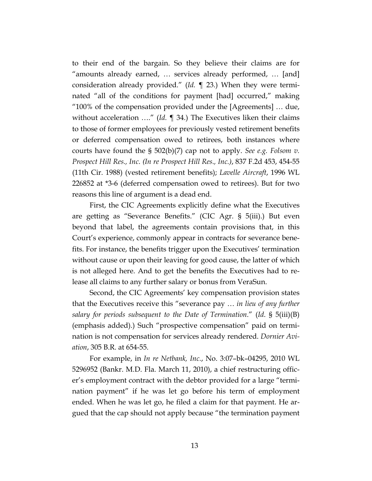to their end of the bargain. So they believe their claims are for "amounts already earned, … services already performed, … [and] consideration already provided." (*Id.* ¶ 23.) When they were terminated "all of the conditions for payment [had] occurred," making "100% of the compensation provided under the [Agreements] … due, without acceleration …." (*Id.* ¶ 34.) The Executives liken their claims to those of former employees for previously vested retirement benefits or deferred compensation owed to retirees, both instances where courts have found the § 502(b)(7) cap not to apply. *See e.g. Folsom v. Prospect Hill Res., Inc. (In re Prospect Hill Res., Inc.)*, 837 F.2d 453, 454-55 (11th Cir. 1988) (vested retirement benefits); *Lavelle Aircraft*, 1996 WL 226852 at \*3-6 (deferred compensation owed to retirees). But for two reasons this line of argument is a dead end.

First, the CIC Agreements explicitly define what the Executives are getting as "Severance Benefits." (CIC Agr. § 5(iii).) But even beyond that label, the agreements contain provisions that, in this Court's experience, commonly appear in contracts for severance benefits. For instance, the benefits trigger upon the Executives' termination without cause or upon their leaving for good cause, the latter of which is not alleged here. And to get the benefits the Executives had to release all claims to any further salary or bonus from VeraSun.

Second, the CIC Agreements' key compensation provision states that the Executives receive this "severance pay … *in lieu of any further salary for periods subsequent to the Date of Termination*." (*Id*. § 5(iii)(B) (emphasis added).) Such "prospective compensation" paid on termination is not compensation for services already rendered. *Dornier Aviation*, 305 B.R. at 654-55.

For example, in *In re Netbank, Inc.*, No. 3:07–bk–04295, 2010 WL 5296952 (Bankr. M.D. Fla. March 11, 2010), a chief restructuring officer's employment contract with the debtor provided for a large "termination payment" if he was let go before his term of employment ended. When he was let go, he filed a claim for that payment. He argued that the cap should not apply because "the termination payment